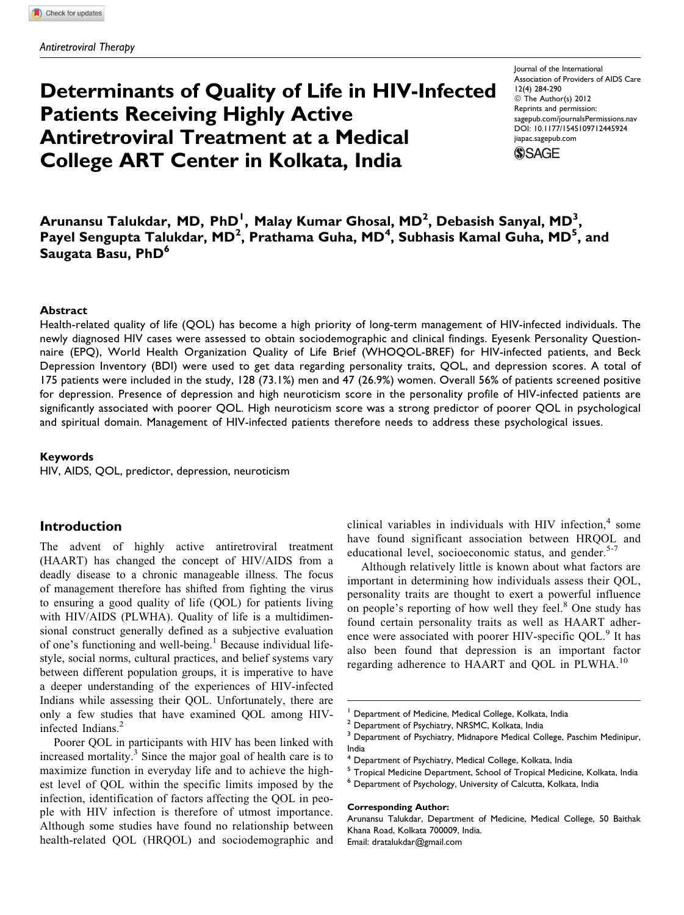# Determinants of Quality of Life in HIV-Infected Patients Receiving Highly Active Antiretroviral Treatment at a Medical College ART Center in Kolkata, India

Journal of the International Association of Providers of AIDS Care 12(4) 284-290 © The Author(s) 2012 Reprints and permission: [sagepub.com/journalsPermissions.nav](http://www.sagepub.com/journalsPermissions.nav) DOI: 10.1177/1545109712445924 [jiapac.sagepub.com](http://jiapac.sagepub.com)**SSAGE** 

Arunansu Talukdar, MD, PhD<sup>1</sup>, Malay Kumar Ghosal, MD<sup>2</sup>, Debasish Sanyal, MD<sup>3</sup>, Payel Sengupta Talukdar, MD<sup>2</sup>, Prathama Guha, MD<sup>4</sup>, Subhasis Kamal Guha, MD<sup>5</sup>, and Saugata Basu, PhD<sup>6</sup>

#### Abstract

Health-related quality of life (QOL) has become a high priority of long-term management of HIV-infected individuals. The newly diagnosed HIV cases were assessed to obtain sociodemographic and clinical findings. Eyesenk Personality Questionnaire (EPQ), World Health Organization Quality of Life Brief (WHOQOL-BREF) for HIV-infected patients, and Beck Depression Inventory (BDI) were used to get data regarding personality traits, QOL, and depression scores. A total of 175 patients were included in the study, 128 (73.1%) men and 47 (26.9%) women. Overall 56% of patients screened positive for depression. Presence of depression and high neuroticism score in the personality profile of HIV-infected patients are significantly associated with poorer QOL. High neuroticism score was a strong predictor of poorer QOL in psychological and spiritual domain. Management of HIV-infected patients therefore needs to address these psychological issues.

#### Keywords

HIV, AIDS, QOL, predictor, depression, neuroticism

# Introduction

The advent of highly active antiretroviral treatment (HAART) has changed the concept of HIV/AIDS from a deadly disease to a chronic manageable illness. The focus of management therefore has shifted from fighting the virus to ensuring a good quality of life (QOL) for patients living with HIV/AIDS (PLWHA). Quality of life is a multidimensional construct generally defined as a subjective evaluation of one's functioning and well-being.<sup>1</sup> Because individual lifestyle, social norms, cultural practices, and belief systems vary between different population groups, it is imperative to have a deeper understanding of the experiences of HIV-infected Indians while assessing their QOL. Unfortunately, there are only a few studies that have examined QOL among HIVinfected Indians.<sup>2</sup>

Poorer QOL in participants with HIV has been linked with increased mortality. $3$  Since the major goal of health care is to maximize function in everyday life and to achieve the highest level of QOL within the specific limits imposed by the infection, identification of factors affecting the QOL in people with HIV infection is therefore of utmost importance. Although some studies have found no relationship between health-related QOL (HRQOL) and sociodemographic and clinical variables in individuals with HIV infection, $4$  some have found significant association between HRQOL and educational level, socioeconomic status, and gender. $5-7$ 

Although relatively little is known about what factors are important in determining how individuals assess their QOL, personality traits are thought to exert a powerful influence on people's reporting of how well they feel.<sup>8</sup> One study has found certain personality traits as well as HAART adherence were associated with poorer HIV-specific QOL.<sup>9</sup> It has also been found that depression is an important factor regarding adherence to HAART and OOL in PLWHA.<sup>10</sup>

#### Corresponding Author:

Arunansu Talukdar, Department of Medicine, Medical College, 50 Baithak Khana Road, Kolkata 700009, India.

Email: dratalukdar@gmail.com

Department of Medicine, Medical College, Kolkata, India

Department of Psychiatry, NRSMC, Kolkata, India

Department of Psychiatry, Midnapore Medical College, Paschim Medinipur, India

<sup>&</sup>lt;sup>4</sup> Department of Psychiatry, Medical College, Kolkata, India

<sup>5</sup> Tropical Medicine Department, School of Tropical Medicine, Kolkata, India

<sup>6</sup> Department of Psychology, University of Calcutta, Kolkata, India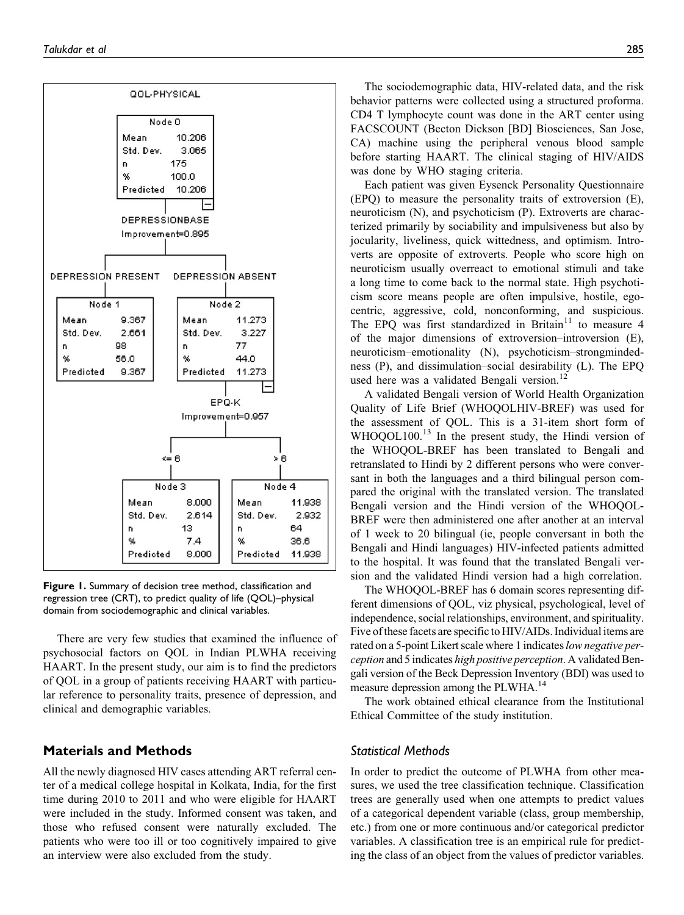

Figure 1. Summary of decision tree method, classification and regression tree (CRT), to predict quality of life (QOL)–physical domain from sociodemographic and clinical variables.

There are very few studies that examined the influence of psychosocial factors on QOL in Indian PLWHA receiving HAART. In the present study, our aim is to find the predictors of QOL in a group of patients receiving HAART with particular reference to personality traits, presence of depression, and clinical and demographic variables.

# Materials and Methods

All the newly diagnosed HIV cases attending ART referral center of a medical college hospital in Kolkata, India, for the first time during 2010 to 2011 and who were eligible for HAART were included in the study. Informed consent was taken, and those who refused consent were naturally excluded. The patients who were too ill or too cognitively impaired to give an interview were also excluded from the study.

The sociodemographic data, HIV-related data, and the risk behavior patterns were collected using a structured proforma. CD4 T lymphocyte count was done in the ART center using FACSCOUNT (Becton Dickson [BD] Biosciences, San Jose, CA) machine using the peripheral venous blood sample before starting HAART. The clinical staging of HIV/AIDS was done by WHO staging criteria.

Each patient was given Eysenck Personality Questionnaire (EPQ) to measure the personality traits of extroversion (E), neuroticism (N), and psychoticism (P). Extroverts are characterized primarily by sociability and impulsiveness but also by jocularity, liveliness, quick wittedness, and optimism. Introverts are opposite of extroverts. People who score high on neuroticism usually overreact to emotional stimuli and take a long time to come back to the normal state. High psychoticism score means people are often impulsive, hostile, egocentric, aggressive, cold, nonconforming, and suspicious. The EPQ was first standardized in Britain<sup>11</sup> to measure 4 of the major dimensions of extroversion–introversion (E), neuroticism–emotionality (N), psychoticism–strongmindedness (P), and dissimulation–social desirability (L). The EPQ used here was a validated Bengali version.<sup>12</sup>

A validated Bengali version of World Health Organization Quality of Life Brief (WHOQOLHIV-BREF) was used for the assessment of QOL. This is a 31-item short form of WHOQOL100.<sup>13</sup> In the present study, the Hindi version of the WHOQOL-BREF has been translated to Bengali and retranslated to Hindi by 2 different persons who were conversant in both the languages and a third bilingual person compared the original with the translated version. The translated Bengali version and the Hindi version of the WHOQOL-BREF were then administered one after another at an interval of 1 week to 20 bilingual (ie, people conversant in both the Bengali and Hindi languages) HIV-infected patients admitted to the hospital. It was found that the translated Bengali version and the validated Hindi version had a high correlation.

The WHOQOL-BREF has 6 domain scores representing different dimensions of QOL, viz physical, psychological, level of independence, social relationships, environment, and spirituality. Five ofthese facets are specific to HIV/AIDs. Individual items are rated on a 5-point Likert scale where 1 indicates low negative perception and 5 indicates high positive perception. A validated Bengali version of the Beck Depression Inventory (BDI) was used to measure depression among the PLWHA.<sup>14</sup>

The work obtained ethical clearance from the Institutional Ethical Committee of the study institution.

## Statistical Methods

In order to predict the outcome of PLWHA from other measures, we used the tree classification technique. Classification trees are generally used when one attempts to predict values of a categorical dependent variable (class, group membership, etc.) from one or more continuous and/or categorical predictor variables. A classification tree is an empirical rule for predicting the class of an object from the values of predictor variables.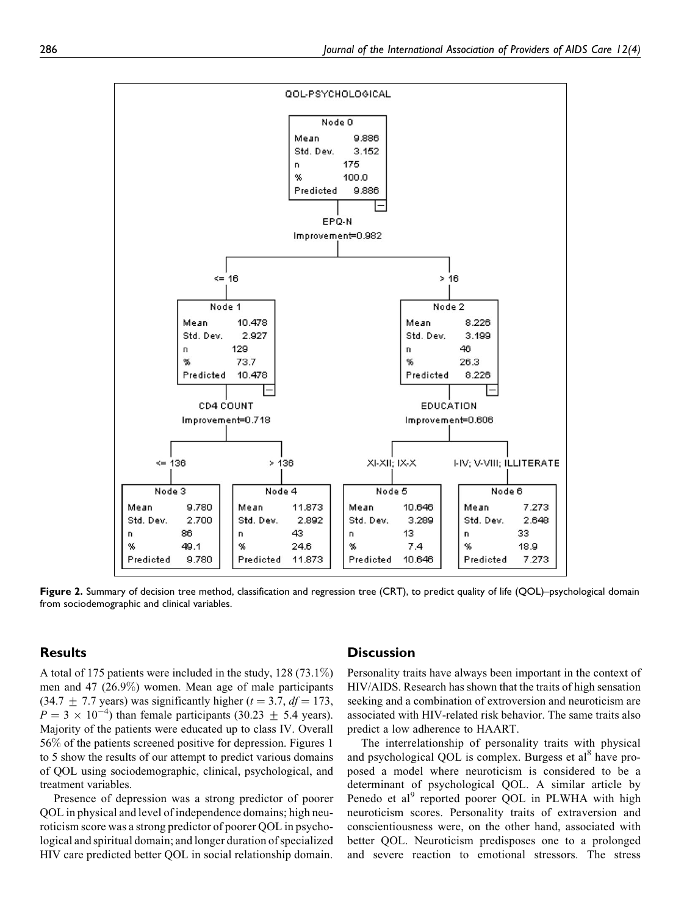

Figure 2. Summary of decision tree method, classification and regression tree (CRT), to predict quality of life (QOL)–psychological domain from sociodemographic and clinical variables.

# Results

A total of 175 patients were included in the study, 128 (73.1%) men and 47 (26.9%) women. Mean age of male participants  $(34.7 + 7.7 \text{ years})$  was significantly higher  $(t = 3.7, df = 173,$  $P = 3 \times 10^{-4}$ ) than female participants (30.23  $\pm$  5.4 years). Majority of the patients were educated up to class IV. Overall 56% of the patients screened positive for depression. Figures 1 to 5 show the results of our attempt to predict various domains of QOL using sociodemographic, clinical, psychological, and treatment variables.

Presence of depression was a strong predictor of poorer QOL in physical and level of independence domains; high neuroticism score was a strong predictor of poorer QOL in psychological and spiritual domain; and longer duration of specialized HIV care predicted better QOL in social relationship domain.

#### **Discussion**

Personality traits have always been important in the context of HIV/AIDS. Research has shown that the traits of high sensation seeking and a combination of extroversion and neuroticism are associated with HIV-related risk behavior. The same traits also predict a low adherence to HAART.

The interrelationship of personality traits with physical and psychological QOL is complex. Burgess et al<sup>8</sup> have proposed a model where neuroticism is considered to be a determinant of psychological QOL. A similar article by Penedo et al<sup>9</sup> reported poorer QOL in PLWHA with high neuroticism scores. Personality traits of extraversion and conscientiousness were, on the other hand, associated with better QOL. Neuroticism predisposes one to a prolonged and severe reaction to emotional stressors. The stress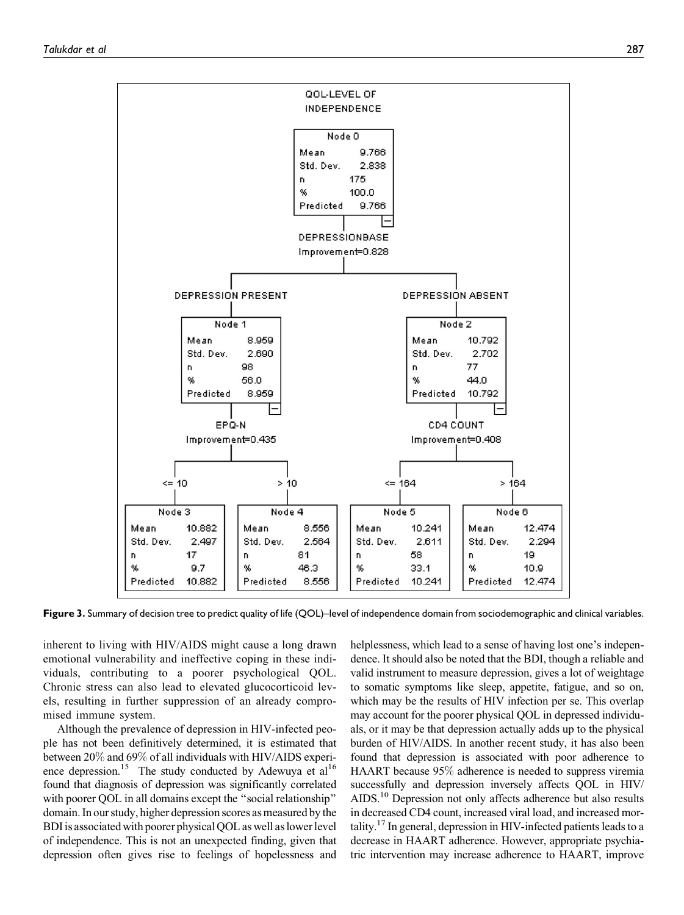

Figure 3. Summary of decision tree to predict quality of life (QOL)–level of independence domain from sociodemographic and clinical variables.

inherent to living with HIV/AIDS might cause a long drawn emotional vulnerability and ineffective coping in these individuals, contributing to a poorer psychological QOL. Chronic stress can also lead to elevated glucocorticoid levels, resulting in further suppression of an already compromised immune system.

Although the prevalence of depression in HIV-infected people has not been definitively determined, it is estimated that between 20% and 69% of all individuals with HIV/AIDS experience depression.<sup>15</sup> The study conducted by Adewuya et al<sup>16</sup> found that diagnosis of depression was significantly correlated with poorer QOL in all domains except the "social relationship" domain. In our study, higher depression scores as measured by the BDI is associated with poorer physical QOL as well as lower level of independence. This is not an unexpected finding, given that depression often gives rise to feelings of hopelessness and helplessness, which lead to a sense of having lost one's independence. It should also be noted that the BDI, though a reliable and valid instrument to measure depression, gives a lot of weightage to somatic symptoms like sleep, appetite, fatigue, and so on, which may be the results of HIV infection per se. This overlap may account for the poorer physical QOL in depressed individuals, or it may be that depression actually adds up to the physical burden of HIV/AIDS. In another recent study, it has also been found that depression is associated with poor adherence to HAART because 95% adherence is needed to suppress viremia successfully and depression inversely affects QOL in HIV/ AIDS.<sup>10</sup> Depression not only affects adherence but also results in decreased CD4 count, increased viral load, and increased mortality.17 In general, depression in HIV-infected patients leads to a decrease in HAART adherence. However, appropriate psychiatric intervention may increase adherence to HAART, improve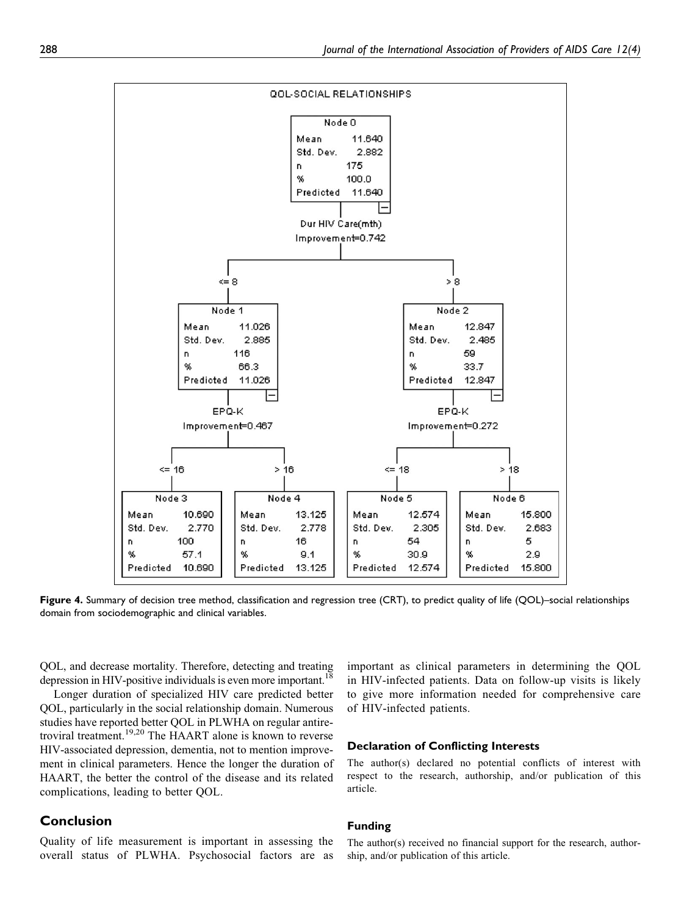

Figure 4. Summary of decision tree method, classification and regression tree (CRT), to predict quality of life (QOL)–social relationships domain from sociodemographic and clinical variables.

QOL, and decrease mortality. Therefore, detecting and treating depression in HIV-positive individuals is even more important.<sup>18</sup>

Longer duration of specialized HIV care predicted better QOL, particularly in the social relationship domain. Numerous studies have reported better QOL in PLWHA on regular antiretroviral treatment.19,20 The HAART alone is known to reverse HIV-associated depression, dementia, not to mention improvement in clinical parameters. Hence the longer the duration of HAART, the better the control of the disease and its related complications, leading to better QOL.

# Conclusion

Quality of life measurement is important in assessing the overall status of PLWHA. Psychosocial factors are as important as clinical parameters in determining the QOL in HIV-infected patients. Data on follow-up visits is likely to give more information needed for comprehensive care of HIV-infected patients.

#### Declaration of Conflicting Interests

The author(s) declared no potential conflicts of interest with respect to the research, authorship, and/or publication of this article.

#### Funding

The author(s) received no financial support for the research, authorship, and/or publication of this article.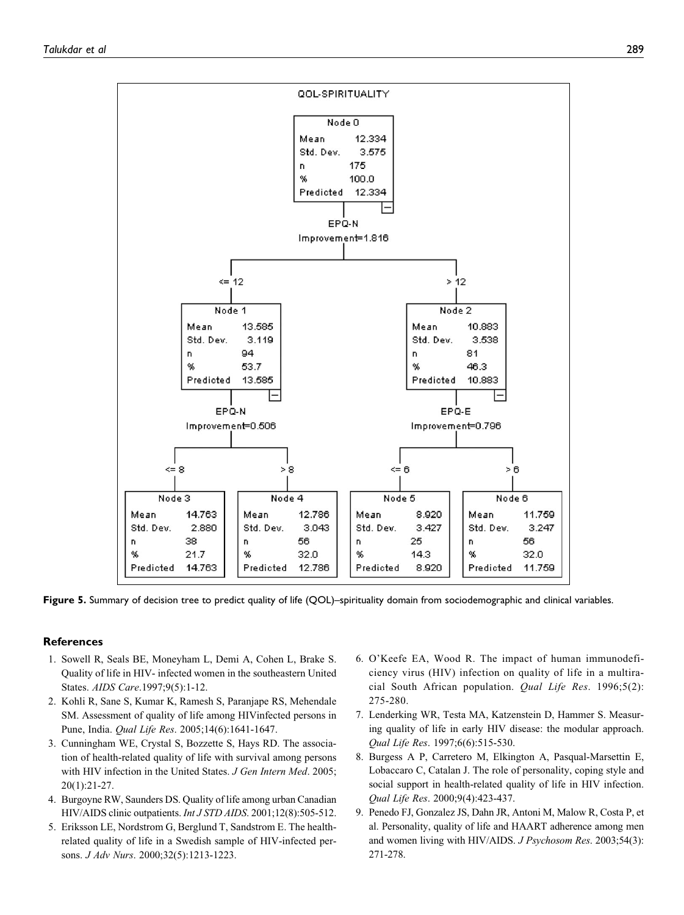

Figure 5. Summary of decision tree to predict quality of life (QOL)–spirituality domain from sociodemographic and clinical variables.

# **References**

- 1. Sowell R, Seals BE, Moneyham L, Demi A, Cohen L, Brake S. Quality of life in HIV- infected women in the southeastern United States. AIDS Care.1997;9(5):1-12.
- 2. Kohli R, Sane S, Kumar K, Ramesh S, Paranjape RS, Mehendale SM. Assessment of quality of life among HIVinfected persons in Pune, India. Qual Life Res. 2005;14(6):1641-1647.
- 3. Cunningham WE, Crystal S, Bozzette S, Hays RD. The association of health-related quality of life with survival among persons with HIV infection in the United States. J Gen Intern Med. 2005; 20(1):21-27.
- 4. Burgoyne RW, Saunders DS. Quality of life among urban Canadian HIV/AIDS clinic outpatients. Int J STD AIDS. 2001;12(8):505-512.
- 5. Eriksson LE, Nordstrom G, Berglund T, Sandstrom E. The healthrelated quality of life in a Swedish sample of HIV-infected persons. J Adv Nurs. 2000;32(5):1213-1223.
- 6. O'Keefe EA, Wood R. The impact of human immunodeficiency virus (HIV) infection on quality of life in a multiracial South African population. Qual Life Res. 1996;5(2): 275-280.
- 7. Lenderking WR, Testa MA, Katzenstein D, Hammer S. Measuring quality of life in early HIV disease: the modular approach. Qual Life Res. 1997;6(6):515-530.
- 8. Burgess A P, Carretero M, Elkington A, Pasqual-Marsettin E, Lobaccaro C, Catalan J. The role of personality, coping style and social support in health-related quality of life in HIV infection. Qual Life Res. 2000;9(4):423-437.
- 9. Penedo FJ, Gonzalez JS, Dahn JR, Antoni M, Malow R, Costa P, et al. Personality, quality of life and HAART adherence among men and women living with HIV/AIDS. J Psychosom Res. 2003;54(3): 271-278.